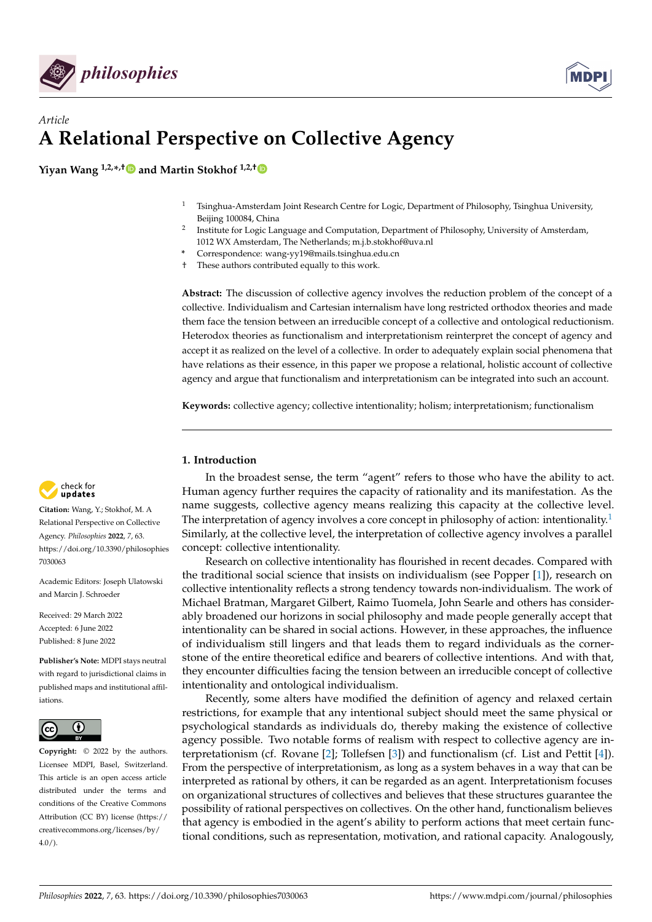



# *Article* **A Relational Perspective on Collective Agency**

**Yiyan Wang 1,2,\* ,[†](https://orcid.org/0000-0002-0481-412X) and Martin Stokhof 1,2,[†](https://orcid.org/0000-0002-8966-8095)**

- <sup>1</sup> Tsinghua-Amsterdam Joint Research Centre for Logic, Department of Philosophy, Tsinghua University, Beijing 100084, China
- 2 Institute for Logic Language and Computation, Department of Philosophy, University of Amsterdam, 1012 WX Amsterdam, The Netherlands; m.j.b.stokhof@uva.nl
- **\*** Correspondence: wang-yy19@mails.tsinghua.edu.cn

† These authors contributed equally to this work.

**Abstract:** The discussion of collective agency involves the reduction problem of the concept of a collective. Individualism and Cartesian internalism have long restricted orthodox theories and made them face the tension between an irreducible concept of a collective and ontological reductionism. Heterodox theories as functionalism and interpretationism reinterpret the concept of agency and accept it as realized on the level of a collective. In order to adequately explain social phenomena that have relations as their essence, in this paper we propose a relational, holistic account of collective agency and argue that functionalism and interpretationism can be integrated into such an account.

**Keywords:** collective agency; collective intentionality; holism; interpretationism; functionalism

# **1. Introduction**

In the broadest sense, the term "agent" refers to those who have the ability to act. Human agency further requires the capacity of rationality and its manifestation. As the name suggests, collective agency means realizing this capacity at the collective level. The interpretation of agency involves a core concept in philosophy of action: intentionality.<sup>[1](#page-15-0)</sup> Similarly, at the collective level, the interpretation of collective agency involves a parallel concept: collective intentionality.

<span id="page-0-0"></span>Research on collective intentionality has flourished in recent decades. Compared with the traditional social science that insists on individualism (see Popper [\[1\]](#page-16-0)), research on collective intentionality reflects a strong tendency towards non-individualism. The work of Michael Bratman, Margaret Gilbert, Raimo Tuomela, John Searle and others has considerably broadened our horizons in social philosophy and made people generally accept that intentionality can be shared in social actions. However, in these approaches, the influence of individualism still lingers and that leads them to regard individuals as the cornerstone of the entire theoretical edifice and bearers of collective intentions. And with that, they encounter difficulties facing the tension between an irreducible concept of collective intentionality and ontological individualism.

Recently, some alters have modified the definition of agency and relaxed certain restrictions, for example that any intentional subject should meet the same physical or psychological standards as individuals do, thereby making the existence of collective agency possible. Two notable forms of realism with respect to collective agency are interpretationism (cf. Rovane [\[2\]](#page-16-1); Tollefsen [\[3\]](#page-16-2)) and functionalism (cf. List and Pettit [\[4\]](#page-16-3)). From the perspective of interpretationism, as long as a system behaves in a way that can be interpreted as rational by others, it can be regarded as an agent. Interpretationism focuses on organizational structures of collectives and believes that these structures guarantee the possibility of rational perspectives on collectives. On the other hand, functionalism believes that agency is embodied in the agent's ability to perform actions that meet certain functional conditions, such as representation, motivation, and rational capacity. Analogously,



**Citation:** Wang, Y.; Stokhof, M. A Relational Perspective on Collective Agency. *Philosophies* **2022**, *7*, 63. [https://doi.org/10.3390/philosophies](https://doi.org/10.3390/philosophies7030063) [7030063](https://doi.org/10.3390/philosophies7030063)

Academic Editors: Joseph Ulatowski and Marcin J. Schroeder

Received: 29 March 2022 Accepted: 6 June 2022 Published: 8 June 2022

**Publisher's Note:** MDPI stays neutral with regard to jurisdictional claims in published maps and institutional affiliations.



**Copyright:** © 2022 by the authors. Licensee MDPI, Basel, Switzerland. This article is an open access article distributed under the terms and conditions of the Creative Commons Attribution (CC BY) license [\(https://](https://creativecommons.org/licenses/by/4.0/) [creativecommons.org/licenses/by/](https://creativecommons.org/licenses/by/4.0/)  $4.0/$ ).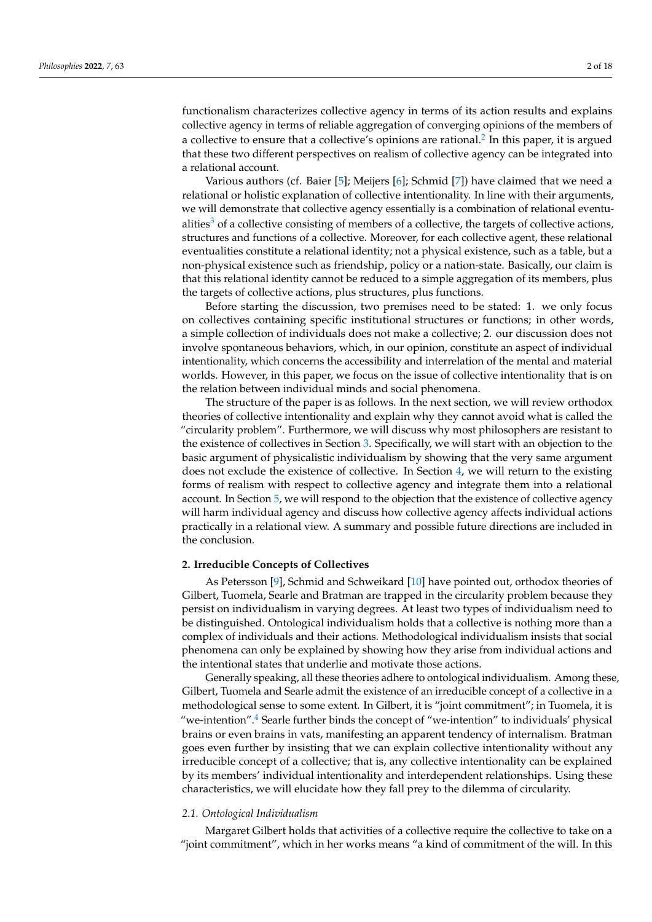<span id="page-1-0"></span>functionalism characterizes collective agency in terms of its action results and explains collective agency in terms of reliable aggregation of converging opinions of the members of a collective to ensure that a collective's opinions are rational.<sup>[2](#page-15-1)</sup> In this paper, it is argued that these two different perspectives on realism of collective agency can be integrated into a relational account.

<span id="page-1-1"></span>Various authors (cf. Baier [\[5\]](#page-16-4); Meijers [\[6\]](#page-16-5); Schmid [\[7\]](#page-16-6)) have claimed that we need a relational or holistic explanation of collective intentionality. In line with their arguments, we will demonstrate that collective agency essentially is a combination of relational eventu-alities<sup>[3](#page-15-2)</sup> of a collective consisting of members of a collective, the targets of collective actions, structures and functions of a collective. Moreover, for each collective agent, these relational eventualities constitute a relational identity; not a physical existence, such as a table, but a non-physical existence such as friendship, policy or a nation-state. Basically, our claim is that this relational identity cannot be reduced to a simple aggregation of its members, plus the targets of collective actions, plus structures, plus functions.

Before starting the discussion, two premises need to be stated: 1. we only focus on collectives containing specific institutional structures or functions; in other words, a simple collection of individuals does not make a collective; 2. our discussion does not involve spontaneous behaviors, which, in our opinion, constitute an aspect of individual intentionality, which concerns the accessibility and interrelation of the mental and material worlds. However, in this paper, we focus on the issue of collective intentionality that is on the relation between individual minds and social phenomena.

The structure of the paper is as follows. In the next section, we will review orthodox theories of collective intentionality and explain why they cannot avoid what is called the "circularity problem". Furthermore, we will discuss why most philosophers are resistant to the existence of collectives in Section [3.](#page-5-0) Specifically, we will start with an objection to the basic argument of physicalistic individualism by showing that the very same argument does not exclude the existence of collective. In Section [4,](#page-8-0) we will return to the existing forms of realism with respect to collective agency and integrate them into a relational account. In Section [5,](#page-12-0) we will respond to the objection that the existence of collective agency will harm individual agency and discuss how collective agency affects individual actions practically in a relational view. A summary and possible future directions are included in the conclusion.

# **2. Irreducible Concepts of Collectives**

As Petersson [\[9\]](#page-16-7), Schmid and Schweikard [\[10\]](#page-16-8) have pointed out, orthodox theories of Gilbert, Tuomela, Searle and Bratman are trapped in the circularity problem because they persist on individualism in varying degrees. At least two types of individualism need to be distinguished. Ontological individualism holds that a collective is nothing more than a complex of individuals and their actions. Methodological individualism insists that social phenomena can only be explained by showing how they arise from individual actions and the intentional states that underlie and motivate those actions.

<span id="page-1-2"></span>Generally speaking, all these theories adhere to ontological individualism. Among these, Gilbert, Tuomela and Searle admit the existence of an irreducible concept of a collective in a methodological sense to some extent. In Gilbert, it is "joint commitment"; in Tuomela, it is "we-intention".<sup>[4](#page-15-3)</sup> Searle further binds the concept of "we-intention" to individuals' physical brains or even brains in vats, manifesting an apparent tendency of internalism. Bratman goes even further by insisting that we can explain collective intentionality without any irreducible concept of a collective; that is, any collective intentionality can be explained by its members' individual intentionality and interdependent relationships. Using these characteristics, we will elucidate how they fall prey to the dilemma of circularity.

#### *2.1. Ontological Individualism*

Margaret Gilbert holds that activities of a collective require the collective to take on a "joint commitment", which in her works means "a kind of commitment of the will. In this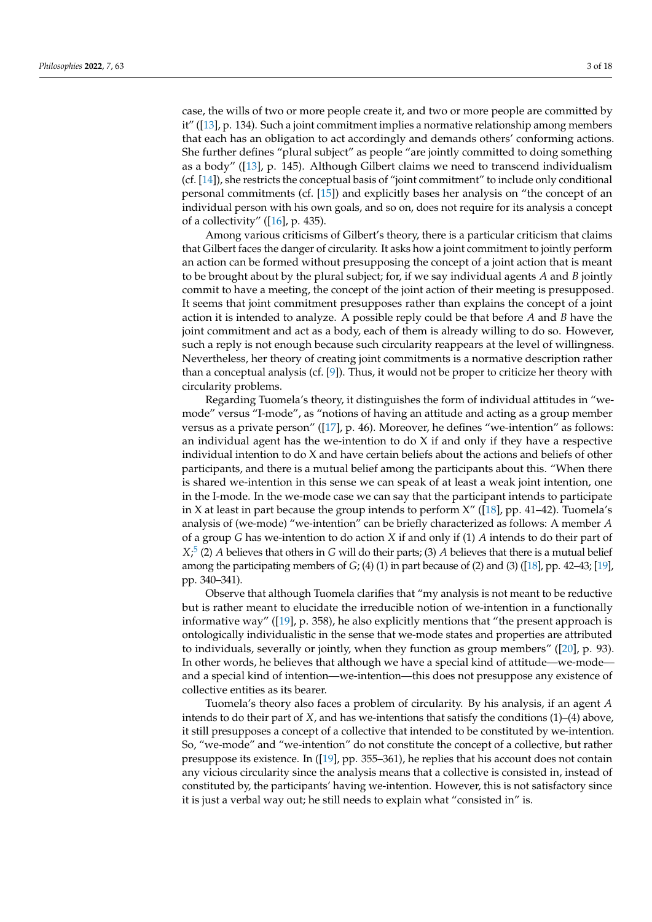case, the wills of two or more people create it, and two or more people are committed by it" ([\[13\]](#page-16-9), p. 134). Such a joint commitment implies a normative relationship among members that each has an obligation to act accordingly and demands others' conforming actions. She further defines "plural subject" as people "are jointly committed to doing something as a body" ([\[13\]](#page-16-9), p. 145). Although Gilbert claims we need to transcend individualism (cf. [\[14\]](#page-16-10)), she restricts the conceptual basis of "joint commitment" to include only conditional personal commitments (cf. [\[15\]](#page-16-11)) and explicitly bases her analysis on "the concept of an individual person with his own goals, and so on, does not require for its analysis a concept of a collectivity" ([\[16\]](#page-16-12), p. 435).

Among various criticisms of Gilbert's theory, there is a particular criticism that claims that Gilbert faces the danger of circularity. It asks how a joint commitment to jointly perform an action can be formed without presupposing the concept of a joint action that is meant to be brought about by the plural subject; for, if we say individual agents *A* and *B* jointly commit to have a meeting, the concept of the joint action of their meeting is presupposed. It seems that joint commitment presupposes rather than explains the concept of a joint action it is intended to analyze. A possible reply could be that before *A* and *B* have the joint commitment and act as a body, each of them is already willing to do so. However, such a reply is not enough because such circularity reappears at the level of willingness. Nevertheless, her theory of creating joint commitments is a normative description rather than a conceptual analysis (cf. [\[9\]](#page-16-7)). Thus, it would not be proper to criticize her theory with circularity problems.

Regarding Tuomela's theory, it distinguishes the form of individual attitudes in "wemode" versus "I-mode", as "notions of having an attitude and acting as a group member versus as a private person" ([\[17\]](#page-16-13), p. 46). Moreover, he defines "we-intention" as follows: an individual agent has the we-intention to do X if and only if they have a respective individual intention to do X and have certain beliefs about the actions and beliefs of other participants, and there is a mutual belief among the participants about this. "When there is shared we-intention in this sense we can speak of at least a weak joint intention, one in the I-mode. In the we-mode case we can say that the participant intends to participate in X at least in part because the group intends to perform  $X''$  ([\[18\]](#page-16-14), pp. 41–42). Tuomela's analysis of (we-mode) "we-intention" can be briefly characterized as follows: A member *A* of a group *G* has we-intention to do action *X* if and only if (1) *A* intends to do their part of *X*; [5](#page-15-4) (2) *A* believes that others in *G* will do their parts; (3) *A* believes that there is a mutual belief among the participating members of *G*; (4) (1) in part because of (2) and (3) ([\[18\]](#page-16-14), pp. 42–43; [\[19\]](#page-16-15), pp. 340–341).

<span id="page-2-0"></span>Observe that although Tuomela clarifies that "my analysis is not meant to be reductive but is rather meant to elucidate the irreducible notion of we-intention in a functionally informative way" ([\[19\]](#page-16-15), p. 358), he also explicitly mentions that "the present approach is ontologically individualistic in the sense that we-mode states and properties are attributed to individuals, severally or jointly, when they function as group members" ([\[20\]](#page-16-16), p. 93). In other words, he believes that although we have a special kind of attitude—we-mode and a special kind of intention—we-intention—this does not presuppose any existence of collective entities as its bearer.

Tuomela's theory also faces a problem of circularity. By his analysis, if an agent *A* intends to do their part of *X*, and has we-intentions that satisfy the conditions (1)–(4) above, it still presupposes a concept of a collective that intended to be constituted by we-intention. So, "we-mode" and "we-intention" do not constitute the concept of a collective, but rather presuppose its existence. In ([\[19\]](#page-16-15), pp. 355–361), he replies that his account does not contain any vicious circularity since the analysis means that a collective is consisted in, instead of constituted by, the participants' having we-intention. However, this is not satisfactory since it is just a verbal way out; he still needs to explain what "consisted in" is.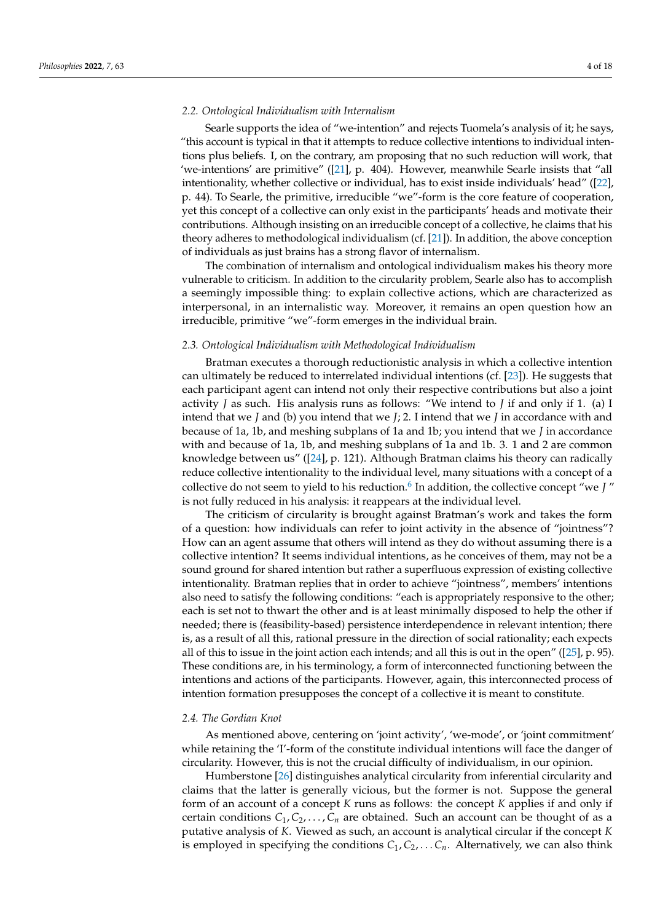#### *2.2. Ontological Individualism with Internalism*

Searle supports the idea of "we-intention" and rejects Tuomela's analysis of it; he says, "this account is typical in that it attempts to reduce collective intentions to individual intentions plus beliefs. I, on the contrary, am proposing that no such reduction will work, that 'we-intentions' are primitive" ([\[21\]](#page-16-17), p. 404). However, meanwhile Searle insists that "all intentionality, whether collective or individual, has to exist inside individuals' head" ([\[22\]](#page-16-18), p. 44). To Searle, the primitive, irreducible "we"-form is the core feature of cooperation, yet this concept of a collective can only exist in the participants' heads and motivate their contributions. Although insisting on an irreducible concept of a collective, he claims that his theory adheres to methodological individualism (cf. [\[21\]](#page-16-17)). In addition, the above conception of individuals as just brains has a strong flavor of internalism.

The combination of internalism and ontological individualism makes his theory more vulnerable to criticism. In addition to the circularity problem, Searle also has to accomplish a seemingly impossible thing: to explain collective actions, which are characterized as interpersonal, in an internalistic way. Moreover, it remains an open question how an irreducible, primitive "we"-form emerges in the individual brain.

#### *2.3. Ontological Individualism with Methodological Individualism*

Bratman executes a thorough reductionistic analysis in which a collective intention can ultimately be reduced to interrelated individual intentions (cf. [\[23\]](#page-16-19)). He suggests that each participant agent can intend not only their respective contributions but also a joint activity *J* as such. His analysis runs as follows: "We intend to *J* if and only if 1. (a) I intend that we *J* and (b) you intend that we *J*; 2. I intend that we *J* in accordance with and because of 1a, 1b, and meshing subplans of 1a and 1b; you intend that we *J* in accordance with and because of 1a, 1b, and meshing subplans of 1a and 1b. 3. 1 and 2 are common knowledge between us" ([\[24\]](#page-16-20), p. 121). Although Bratman claims his theory can radically reduce collective intentionality to the individual level, many situations with a concept of a collective do not seem to yield to his reduction.[6](#page-15-5) In addition, the collective concept "we *J* " is not fully reduced in his analysis: it reappears at the individual level.

<span id="page-3-0"></span>The criticism of circularity is brought against Bratman's work and takes the form of a question: how individuals can refer to joint activity in the absence of "jointness"? How can an agent assume that others will intend as they do without assuming there is a collective intention? It seems individual intentions, as he conceives of them, may not be a sound ground for shared intention but rather a superfluous expression of existing collective intentionality. Bratman replies that in order to achieve "jointness", members' intentions also need to satisfy the following conditions: "each is appropriately responsive to the other; each is set not to thwart the other and is at least minimally disposed to help the other if needed; there is (feasibility-based) persistence interdependence in relevant intention; there is, as a result of all this, rational pressure in the direction of social rationality; each expects all of this to issue in the joint action each intends; and all this is out in the open" ([\[25\]](#page-16-21), p. 95). These conditions are, in his terminology, a form of interconnected functioning between the intentions and actions of the participants. However, again, this interconnected process of intention formation presupposes the concept of a collective it is meant to constitute.

#### *2.4. The Gordian Knot*

As mentioned above, centering on 'joint activity', 'we-mode', or 'joint commitment' while retaining the 'I'-form of the constitute individual intentions will face the danger of circularity. However, this is not the crucial difficulty of individualism, in our opinion.

Humberstone [\[26\]](#page-16-22) distinguishes analytical circularity from inferential circularity and claims that the latter is generally vicious, but the former is not. Suppose the general form of an account of a concept *K* runs as follows: the concept *K* applies if and only if certain conditions  $C_1, C_2, \ldots, C_n$  are obtained. Such an account can be thought of as a putative analysis of *K*. Viewed as such, an account is analytical circular if the concept *K* is employed in specifying the conditions  $C_1, C_2, \ldots, C_n$ . Alternatively, we can also think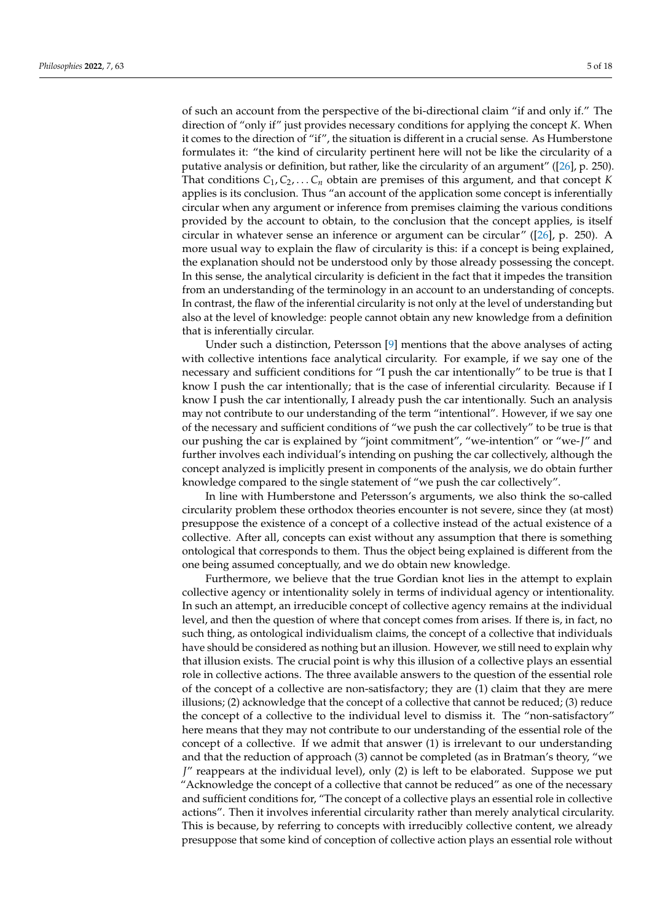of such an account from the perspective of the bi-directional claim "if and only if." The direction of "only if" just provides necessary conditions for applying the concept *K*. When it comes to the direction of "if", the situation is different in a crucial sense. As Humberstone formulates it: "the kind of circularity pertinent here will not be like the circularity of a putative analysis or definition, but rather, like the circularity of an argument" ([\[26\]](#page-16-22), p. 250). That conditions  $C_1, C_2, \ldots, C_n$  obtain are premises of this argument, and that concept *K* applies is its conclusion. Thus "an account of the application some concept is inferentially circular when any argument or inference from premises claiming the various conditions provided by the account to obtain, to the conclusion that the concept applies, is itself circular in whatever sense an inference or argument can be circular" ([\[26\]](#page-16-22), p. 250). A more usual way to explain the flaw of circularity is this: if a concept is being explained, the explanation should not be understood only by those already possessing the concept. In this sense, the analytical circularity is deficient in the fact that it impedes the transition from an understanding of the terminology in an account to an understanding of concepts. In contrast, the flaw of the inferential circularity is not only at the level of understanding but also at the level of knowledge: people cannot obtain any new knowledge from a definition that is inferentially circular.

Under such a distinction, Petersson [\[9\]](#page-16-7) mentions that the above analyses of acting with collective intentions face analytical circularity. For example, if we say one of the necessary and sufficient conditions for "I push the car intentionally" to be true is that I know I push the car intentionally; that is the case of inferential circularity. Because if I know I push the car intentionally, I already push the car intentionally. Such an analysis may not contribute to our understanding of the term "intentional". However, if we say one of the necessary and sufficient conditions of "we push the car collectively" to be true is that our pushing the car is explained by "joint commitment", "we-intention" or "we-*J*" and further involves each individual's intending on pushing the car collectively, although the concept analyzed is implicitly present in components of the analysis, we do obtain further knowledge compared to the single statement of "we push the car collectively".

In line with Humberstone and Petersson's arguments, we also think the so-called circularity problem these orthodox theories encounter is not severe, since they (at most) presuppose the existence of a concept of a collective instead of the actual existence of a collective. After all, concepts can exist without any assumption that there is something ontological that corresponds to them. Thus the object being explained is different from the one being assumed conceptually, and we do obtain new knowledge.

Furthermore, we believe that the true Gordian knot lies in the attempt to explain collective agency or intentionality solely in terms of individual agency or intentionality. In such an attempt, an irreducible concept of collective agency remains at the individual level, and then the question of where that concept comes from arises. If there is, in fact, no such thing, as ontological individualism claims, the concept of a collective that individuals have should be considered as nothing but an illusion. However, we still need to explain why that illusion exists. The crucial point is why this illusion of a collective plays an essential role in collective actions. The three available answers to the question of the essential role of the concept of a collective are non-satisfactory; they are (1) claim that they are mere illusions; (2) acknowledge that the concept of a collective that cannot be reduced; (3) reduce the concept of a collective to the individual level to dismiss it. The "non-satisfactory" here means that they may not contribute to our understanding of the essential role of the concept of a collective. If we admit that answer (1) is irrelevant to our understanding and that the reduction of approach (3) cannot be completed (as in Bratman's theory, "we *J*" reappears at the individual level), only (2) is left to be elaborated. Suppose we put "Acknowledge the concept of a collective that cannot be reduced" as one of the necessary and sufficient conditions for, "The concept of a collective plays an essential role in collective actions". Then it involves inferential circularity rather than merely analytical circularity. This is because, by referring to concepts with irreducibly collective content, we already presuppose that some kind of conception of collective action plays an essential role without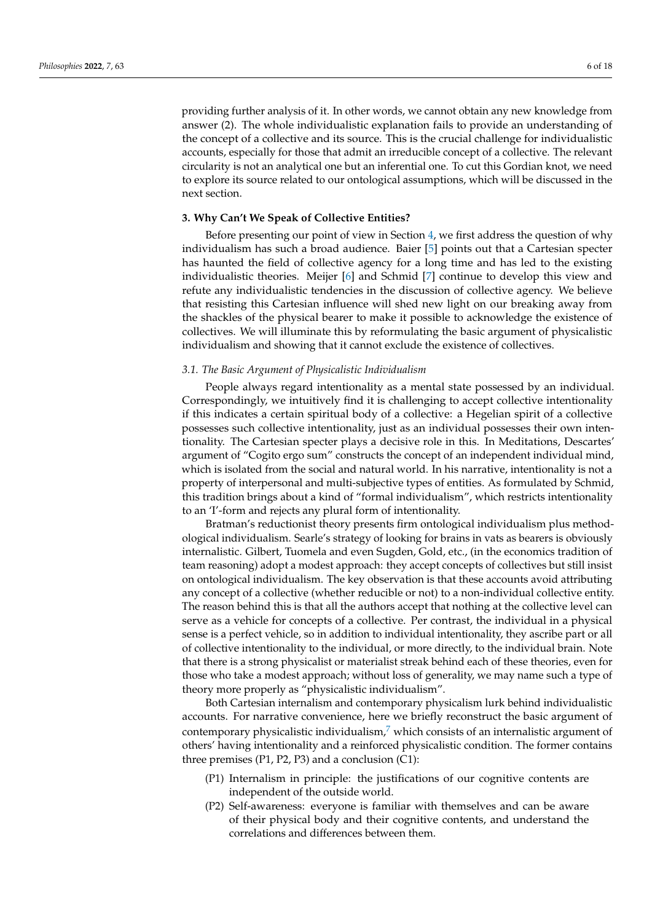providing further analysis of it. In other words, we cannot obtain any new knowledge from answer (2). The whole individualistic explanation fails to provide an understanding of the concept of a collective and its source. This is the crucial challenge for individualistic accounts, especially for those that admit an irreducible concept of a collective. The relevant circularity is not an analytical one but an inferential one. To cut this Gordian knot, we need to explore its source related to our ontological assumptions, which will be discussed in the next section.

#### <span id="page-5-0"></span>**3. Why Can't We Speak of Collective Entities?**

Before presenting our point of view in Section [4,](#page-8-0) we first address the question of why individualism has such a broad audience. Baier [\[5\]](#page-16-4) points out that a Cartesian specter has haunted the field of collective agency for a long time and has led to the existing individualistic theories. Meijer [\[6\]](#page-16-5) and Schmid [\[7\]](#page-16-6) continue to develop this view and refute any individualistic tendencies in the discussion of collective agency. We believe that resisting this Cartesian influence will shed new light on our breaking away from the shackles of the physical bearer to make it possible to acknowledge the existence of collectives. We will illuminate this by reformulating the basic argument of physicalistic individualism and showing that it cannot exclude the existence of collectives.

#### *3.1. The Basic Argument of Physicalistic Individualism*

People always regard intentionality as a mental state possessed by an individual. Correspondingly, we intuitively find it is challenging to accept collective intentionality if this indicates a certain spiritual body of a collective: a Hegelian spirit of a collective possesses such collective intentionality, just as an individual possesses their own intentionality. The Cartesian specter plays a decisive role in this. In Meditations, Descartes' argument of "Cogito ergo sum" constructs the concept of an independent individual mind, which is isolated from the social and natural world. In his narrative, intentionality is not a property of interpersonal and multi-subjective types of entities. As formulated by Schmid, this tradition brings about a kind of "formal individualism", which restricts intentionality to an 'I'-form and rejects any plural form of intentionality.

Bratman's reductionist theory presents firm ontological individualism plus methodological individualism. Searle's strategy of looking for brains in vats as bearers is obviously internalistic. Gilbert, Tuomela and even Sugden, Gold, etc., (in the economics tradition of team reasoning) adopt a modest approach: they accept concepts of collectives but still insist on ontological individualism. The key observation is that these accounts avoid attributing any concept of a collective (whether reducible or not) to a non-individual collective entity. The reason behind this is that all the authors accept that nothing at the collective level can serve as a vehicle for concepts of a collective. Per contrast, the individual in a physical sense is a perfect vehicle, so in addition to individual intentionality, they ascribe part or all of collective intentionality to the individual, or more directly, to the individual brain. Note that there is a strong physicalist or materialist streak behind each of these theories, even for those who take a modest approach; without loss of generality, we may name such a type of theory more properly as "physicalistic individualism".

Both Cartesian internalism and contemporary physicalism lurk behind individualistic accounts. For narrative convenience, here we briefly reconstruct the basic argument of contemporary physicalistic individualism, $\bar{y}$  which consists of an internalistic argument of others' having intentionality and a reinforced physicalistic condition. The former contains three premises (P1, P2, P3) and a conclusion (C1):

- <span id="page-5-1"></span>(P1) Internalism in principle: the justifications of our cognitive contents are independent of the outside world.
- (P2) Self-awareness: everyone is familiar with themselves and can be aware of their physical body and their cognitive contents, and understand the correlations and differences between them.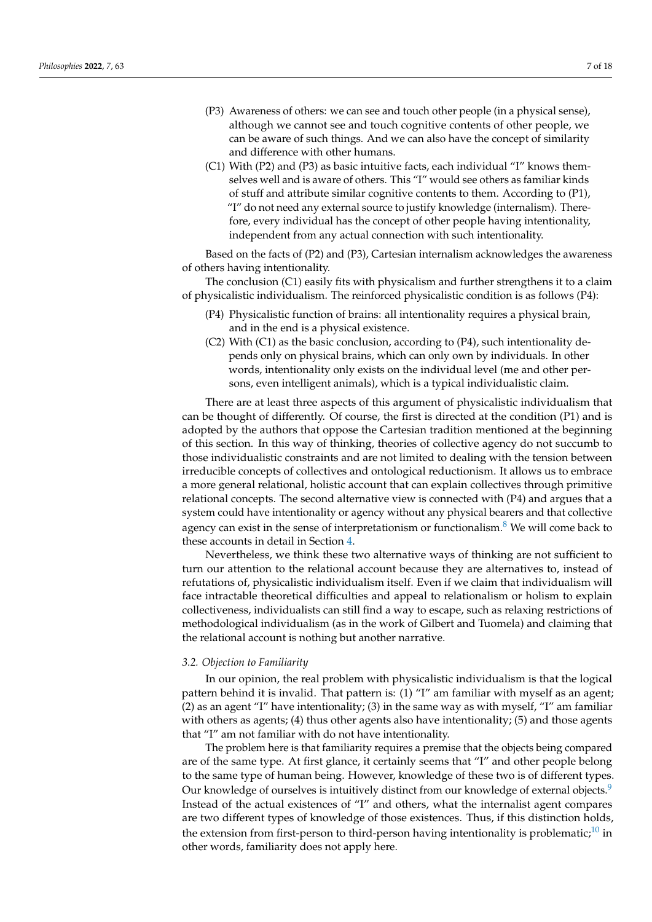- (P3) Awareness of others: we can see and touch other people (in a physical sense), although we cannot see and touch cognitive contents of other people, we can be aware of such things. And we can also have the concept of similarity and difference with other humans.
- (C1) With (P2) and (P3) as basic intuitive facts, each individual "I" knows themselves well and is aware of others. This "I" would see others as familiar kinds of stuff and attribute similar cognitive contents to them. According to (P1), "I" do not need any external source to justify knowledge (internalism). Therefore, every individual has the concept of other people having intentionality, independent from any actual connection with such intentionality.

Based on the facts of (P2) and (P3), Cartesian internalism acknowledges the awareness of others having intentionality.

The conclusion (C1) easily fits with physicalism and further strengthens it to a claim of physicalistic individualism. The reinforced physicalistic condition is as follows (P4):

- (P4) Physicalistic function of brains: all intentionality requires a physical brain, and in the end is a physical existence.
- $(C2)$  With  $(C1)$  as the basic conclusion, according to  $(P4)$ , such intentionality depends only on physical brains, which can only own by individuals. In other words, intentionality only exists on the individual level (me and other persons, even intelligent animals), which is a typical individualistic claim.

There are at least three aspects of this argument of physicalistic individualism that can be thought of differently. Of course, the first is directed at the condition (P1) and is adopted by the authors that oppose the Cartesian tradition mentioned at the beginning of this section. In this way of thinking, theories of collective agency do not succumb to those individualistic constraints and are not limited to dealing with the tension between irreducible concepts of collectives and ontological reductionism. It allows us to embrace a more general relational, holistic account that can explain collectives through primitive relational concepts. The second alternative view is connected with (P4) and argues that a system could have intentionality or agency without any physical bearers and that collective agency can exist in the sense of interpretationism or functionalism.<sup>[8](#page-15-7)</sup> We will come back to these accounts in detail in Section [4.](#page-8-0)

<span id="page-6-0"></span>Nevertheless, we think these two alternative ways of thinking are not sufficient to turn our attention to the relational account because they are alternatives to, instead of refutations of, physicalistic individualism itself. Even if we claim that individualism will face intractable theoretical difficulties and appeal to relationalism or holism to explain collectiveness, individualists can still find a way to escape, such as relaxing restrictions of methodological individualism (as in the work of Gilbert and Tuomela) and claiming that the relational account is nothing but another narrative.

#### *3.2. Objection to Familiarity*

In our opinion, the real problem with physicalistic individualism is that the logical pattern behind it is invalid. That pattern is: (1) "I" am familiar with myself as an agent; (2) as an agent "I" have intentionality; (3) in the same way as with myself, "I" am familiar with others as agents; (4) thus other agents also have intentionality; (5) and those agents that "I" am not familiar with do not have intentionality.

<span id="page-6-2"></span><span id="page-6-1"></span>The problem here is that familiarity requires a premise that the objects being compared are of the same type. At first glance, it certainly seems that "I" and other people belong to the same type of human being. However, knowledge of these two is of different types. Our knowledge of ourselves is intuitively distinct from our knowledge of external objects.<sup>[9](#page-15-8)</sup> Instead of the actual existences of "I" and others, what the internalist agent compares are two different types of knowledge of those existences. Thus, if this distinction holds, the extension from first-person to third-person having intentionality is problematic;<sup>[10](#page-15-9)</sup> in other words, familiarity does not apply here.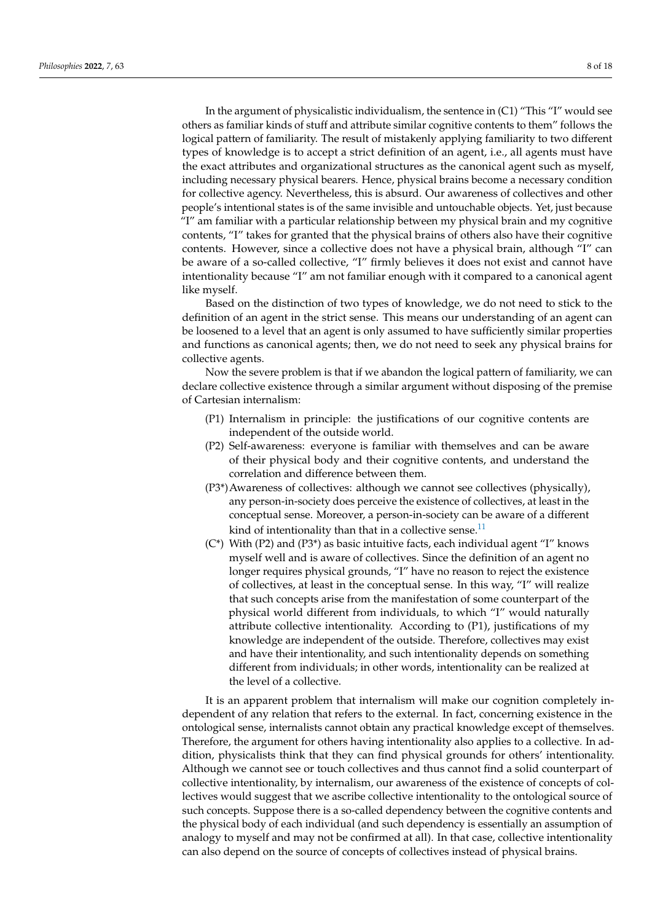In the argument of physicalistic individualism, the sentence in (C1) "This "I" would see others as familiar kinds of stuff and attribute similar cognitive contents to them" follows the logical pattern of familiarity. The result of mistakenly applying familiarity to two different types of knowledge is to accept a strict definition of an agent, i.e., all agents must have the exact attributes and organizational structures as the canonical agent such as myself, including necessary physical bearers. Hence, physical brains become a necessary condition for collective agency. Nevertheless, this is absurd. Our awareness of collectives and other people's intentional states is of the same invisible and untouchable objects. Yet, just because "I" am familiar with a particular relationship between my physical brain and my cognitive contents, "I" takes for granted that the physical brains of others also have their cognitive contents. However, since a collective does not have a physical brain, although "I" can be aware of a so-called collective, "I" firmly believes it does not exist and cannot have intentionality because "I" am not familiar enough with it compared to a canonical agent like myself.

Based on the distinction of two types of knowledge, we do not need to stick to the definition of an agent in the strict sense. This means our understanding of an agent can be loosened to a level that an agent is only assumed to have sufficiently similar properties and functions as canonical agents; then, we do not need to seek any physical brains for collective agents.

Now the severe problem is that if we abandon the logical pattern of familiarity, we can declare collective existence through a similar argument without disposing of the premise of Cartesian internalism:

- (P1) Internalism in principle: the justifications of our cognitive contents are independent of the outside world.
- (P2) Self-awareness: everyone is familiar with themselves and can be aware of their physical body and their cognitive contents, and understand the correlation and difference between them.
- (P3\*)Awareness of collectives: although we cannot see collectives (physically), any person-in-society does perceive the existence of collectives, at least in the conceptual sense. Moreover, a person-in-society can be aware of a different kind of intentionality than that in a collective sense.<sup>[11](#page-15-10)</sup>
- <span id="page-7-0"></span>(C\*) With (P2) and (P3\*) as basic intuitive facts, each individual agent "I" knows myself well and is aware of collectives. Since the definition of an agent no longer requires physical grounds, "I" have no reason to reject the existence of collectives, at least in the conceptual sense. In this way, "I" will realize that such concepts arise from the manifestation of some counterpart of the physical world different from individuals, to which "I" would naturally attribute collective intentionality. According to (P1), justifications of my knowledge are independent of the outside. Therefore, collectives may exist and have their intentionality, and such intentionality depends on something different from individuals; in other words, intentionality can be realized at the level of a collective.

It is an apparent problem that internalism will make our cognition completely independent of any relation that refers to the external. In fact, concerning existence in the ontological sense, internalists cannot obtain any practical knowledge except of themselves. Therefore, the argument for others having intentionality also applies to a collective. In addition, physicalists think that they can find physical grounds for others' intentionality. Although we cannot see or touch collectives and thus cannot find a solid counterpart of collective intentionality, by internalism, our awareness of the existence of concepts of collectives would suggest that we ascribe collective intentionality to the ontological source of such concepts. Suppose there is a so-called dependency between the cognitive contents and the physical body of each individual (and such dependency is essentially an assumption of analogy to myself and may not be confirmed at all). In that case, collective intentionality can also depend on the source of concepts of collectives instead of physical brains.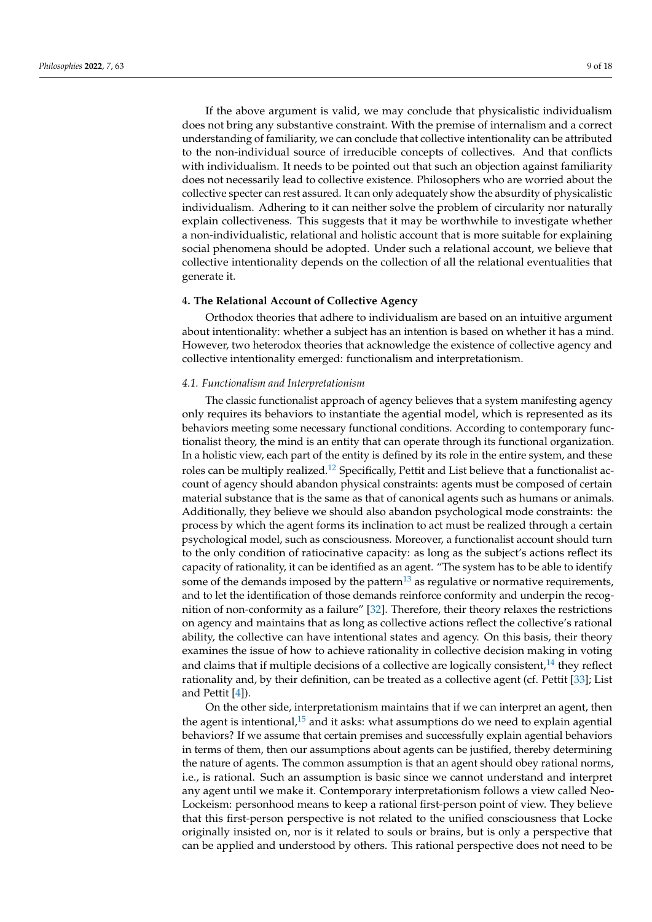If the above argument is valid, we may conclude that physicalistic individualism does not bring any substantive constraint. With the premise of internalism and a correct understanding of familiarity, we can conclude that collective intentionality can be attributed to the non-individual source of irreducible concepts of collectives. And that conflicts with individualism. It needs to be pointed out that such an objection against familiarity does not necessarily lead to collective existence. Philosophers who are worried about the collective specter can rest assured. It can only adequately show the absurdity of physicalistic individualism. Adhering to it can neither solve the problem of circularity nor naturally explain collectiveness. This suggests that it may be worthwhile to investigate whether a non-individualistic, relational and holistic account that is more suitable for explaining social phenomena should be adopted. Under such a relational account, we believe that collective intentionality depends on the collection of all the relational eventualities that generate it.

# <span id="page-8-0"></span>**4. The Relational Account of Collective Agency**

Orthodox theories that adhere to individualism are based on an intuitive argument about intentionality: whether a subject has an intention is based on whether it has a mind. However, two heterodox theories that acknowledge the existence of collective agency and collective intentionality emerged: functionalism and interpretationism.

# *4.1. Functionalism and Interpretationism*

<span id="page-8-1"></span>The classic functionalist approach of agency believes that a system manifesting agency only requires its behaviors to instantiate the agential model, which is represented as its behaviors meeting some necessary functional conditions. According to contemporary functionalist theory, the mind is an entity that can operate through its functional organization. In a holistic view, each part of the entity is defined by its role in the entire system, and these roles can be multiply realized.[12](#page-15-11) Specifically, Pettit and List believe that a functionalist account of agency should abandon physical constraints: agents must be composed of certain material substance that is the same as that of canonical agents such as humans or animals. Additionally, they believe we should also abandon psychological mode constraints: the process by which the agent forms its inclination to act must be realized through a certain psychological model, such as consciousness. Moreover, a functionalist account should turn to the only condition of ratiocinative capacity: as long as the subject's actions reflect its capacity of rationality, it can be identified as an agent. "The system has to be able to identify some of the demands imposed by the pattern<sup>[13](#page-15-12)</sup> as regulative or normative requirements, and to let the identification of those demands reinforce conformity and underpin the recognition of non-conformity as a failure" [\[32\]](#page-16-23). Therefore, their theory relaxes the restrictions on agency and maintains that as long as collective actions reflect the collective's rational ability, the collective can have intentional states and agency. On this basis, their theory examines the issue of how to achieve rationality in collective decision making in voting and claims that if multiple decisions of a collective are logically consistent, $14$  they reflect rationality and, by their definition, can be treated as a collective agent (cf. Pettit [\[33\]](#page-16-24); List and Pettit [\[4\]](#page-16-3)).

<span id="page-8-4"></span><span id="page-8-3"></span><span id="page-8-2"></span>On the other side, interpretationism maintains that if we can interpret an agent, then the agent is intentional, $15$  and it asks: what assumptions do we need to explain agential behaviors? If we assume that certain premises and successfully explain agential behaviors in terms of them, then our assumptions about agents can be justified, thereby determining the nature of agents. The common assumption is that an agent should obey rational norms, i.e., is rational. Such an assumption is basic since we cannot understand and interpret any agent until we make it. Contemporary interpretationism follows a view called Neo-Lockeism: personhood means to keep a rational first-person point of view. They believe that this first-person perspective is not related to the unified consciousness that Locke originally insisted on, nor is it related to souls or brains, but is only a perspective that can be applied and understood by others. This rational perspective does not need to be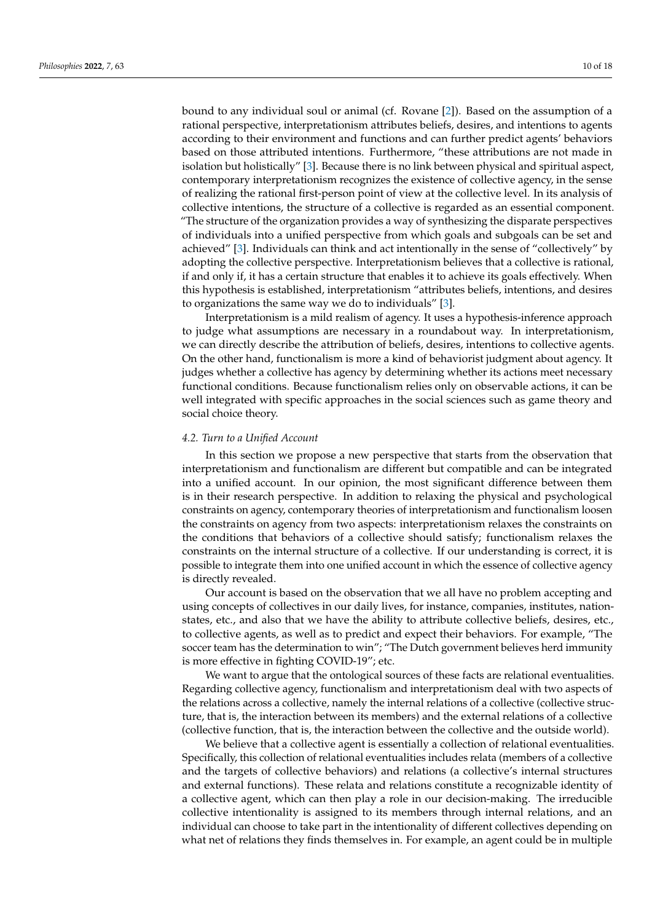bound to any individual soul or animal (cf. Rovane [\[2\]](#page-16-1)). Based on the assumption of a rational perspective, interpretationism attributes beliefs, desires, and intentions to agents according to their environment and functions and can further predict agents' behaviors based on those attributed intentions. Furthermore, "these attributions are not made in isolation but holistically" [\[3\]](#page-16-2). Because there is no link between physical and spiritual aspect, contemporary interpretationism recognizes the existence of collective agency, in the sense of realizing the rational first-person point of view at the collective level. In its analysis of collective intentions, the structure of a collective is regarded as an essential component. "The structure of the organization provides a way of synthesizing the disparate perspectives of individuals into a unified perspective from which goals and subgoals can be set and achieved" [\[3\]](#page-16-2). Individuals can think and act intentionally in the sense of "collectively" by adopting the collective perspective. Interpretationism believes that a collective is rational, if and only if, it has a certain structure that enables it to achieve its goals effectively. When this hypothesis is established, interpretationism "attributes beliefs, intentions, and desires to organizations the same way we do to individuals" [\[3\]](#page-16-2).

Interpretationism is a mild realism of agency. It uses a hypothesis-inference approach to judge what assumptions are necessary in a roundabout way. In interpretationism, we can directly describe the attribution of beliefs, desires, intentions to collective agents. On the other hand, functionalism is more a kind of behaviorist judgment about agency. It judges whether a collective has agency by determining whether its actions meet necessary functional conditions. Because functionalism relies only on observable actions, it can be well integrated with specific approaches in the social sciences such as game theory and social choice theory.

# *4.2. Turn to a Unified Account*

In this section we propose a new perspective that starts from the observation that interpretationism and functionalism are different but compatible and can be integrated into a unified account. In our opinion, the most significant difference between them is in their research perspective. In addition to relaxing the physical and psychological constraints on agency, contemporary theories of interpretationism and functionalism loosen the constraints on agency from two aspects: interpretationism relaxes the constraints on the conditions that behaviors of a collective should satisfy; functionalism relaxes the constraints on the internal structure of a collective. If our understanding is correct, it is possible to integrate them into one unified account in which the essence of collective agency is directly revealed.

Our account is based on the observation that we all have no problem accepting and using concepts of collectives in our daily lives, for instance, companies, institutes, nationstates, etc., and also that we have the ability to attribute collective beliefs, desires, etc., to collective agents, as well as to predict and expect their behaviors. For example, "The soccer team has the determination to win"; "The Dutch government believes herd immunity is more effective in fighting COVID-19"; etc.

We want to argue that the ontological sources of these facts are relational eventualities. Regarding collective agency, functionalism and interpretationism deal with two aspects of the relations across a collective, namely the internal relations of a collective (collective structure, that is, the interaction between its members) and the external relations of a collective (collective function, that is, the interaction between the collective and the outside world).

We believe that a collective agent is essentially a collection of relational eventualities. Specifically, this collection of relational eventualities includes relata (members of a collective and the targets of collective behaviors) and relations (a collective's internal structures and external functions). These relata and relations constitute a recognizable identity of a collective agent, which can then play a role in our decision-making. The irreducible collective intentionality is assigned to its members through internal relations, and an individual can choose to take part in the intentionality of different collectives depending on what net of relations they finds themselves in. For example, an agent could be in multiple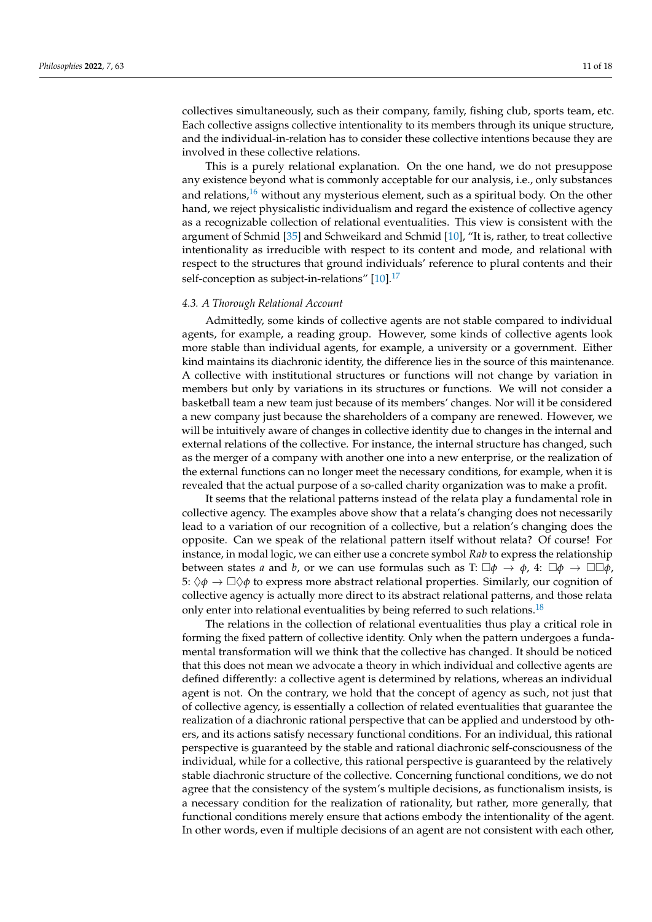collectives simultaneously, such as their company, family, fishing club, sports team, etc. Each collective assigns collective intentionality to its members through its unique structure, and the individual-in-relation has to consider these collective intentions because they are involved in these collective relations.

<span id="page-10-0"></span>This is a purely relational explanation. On the one hand, we do not presuppose any existence beyond what is commonly acceptable for our analysis, i.e., only substances and relations, $16$  without any mysterious element, such as a spiritual body. On the other hand, we reject physicalistic individualism and regard the existence of collective agency as a recognizable collection of relational eventualities. This view is consistent with the argument of Schmid [\[35\]](#page-17-0) and Schweikard and Schmid [\[10\]](#page-16-8), "It is, rather, to treat collective intentionality as irreducible with respect to its content and mode, and relational with respect to the structures that ground individuals' reference to plural contents and their self-conception as subject-in-relations"  $[10]$ .<sup>[17](#page-16-25)</sup>

# <span id="page-10-1"></span>*4.3. A Thorough Relational Account*

Admittedly, some kinds of collective agents are not stable compared to individual agents, for example, a reading group. However, some kinds of collective agents look more stable than individual agents, for example, a university or a government. Either kind maintains its diachronic identity, the difference lies in the source of this maintenance. A collective with institutional structures or functions will not change by variation in members but only by variations in its structures or functions. We will not consider a basketball team a new team just because of its members' changes. Nor will it be considered a new company just because the shareholders of a company are renewed. However, we will be intuitively aware of changes in collective identity due to changes in the internal and external relations of the collective. For instance, the internal structure has changed, such as the merger of a company with another one into a new enterprise, or the realization of the external functions can no longer meet the necessary conditions, for example, when it is revealed that the actual purpose of a so-called charity organization was to make a profit.

It seems that the relational patterns instead of the relata play a fundamental role in collective agency. The examples above show that a relata's changing does not necessarily lead to a variation of our recognition of a collective, but a relation's changing does the opposite. Can we speak of the relational pattern itself without relata? Of course! For instance, in modal logic, we can either use a concrete symbol *Rab* to express the relationship between states *a* and *b*, or we can use formulas such as T:  $\Box \phi \rightarrow \phi$ , 4:  $\Box \phi \rightarrow \Box \Box \phi$ , 5:  $\Diamond \phi \rightarrow \Box \Diamond \phi$  to express more abstract relational properties. Similarly, our cognition of collective agency is actually more direct to its abstract relational patterns, and those relata only enter into relational eventualities by being referred to such relations.<sup>[18](#page-16-26)</sup>

<span id="page-10-2"></span>The relations in the collection of relational eventualities thus play a critical role in forming the fixed pattern of collective identity. Only when the pattern undergoes a fundamental transformation will we think that the collective has changed. It should be noticed that this does not mean we advocate a theory in which individual and collective agents are defined differently: a collective agent is determined by relations, whereas an individual agent is not. On the contrary, we hold that the concept of agency as such, not just that of collective agency, is essentially a collection of related eventualities that guarantee the realization of a diachronic rational perspective that can be applied and understood by others, and its actions satisfy necessary functional conditions. For an individual, this rational perspective is guaranteed by the stable and rational diachronic self-consciousness of the individual, while for a collective, this rational perspective is guaranteed by the relatively stable diachronic structure of the collective. Concerning functional conditions, we do not agree that the consistency of the system's multiple decisions, as functionalism insists, is a necessary condition for the realization of rationality, but rather, more generally, that functional conditions merely ensure that actions embody the intentionality of the agent. In other words, even if multiple decisions of an agent are not consistent with each other,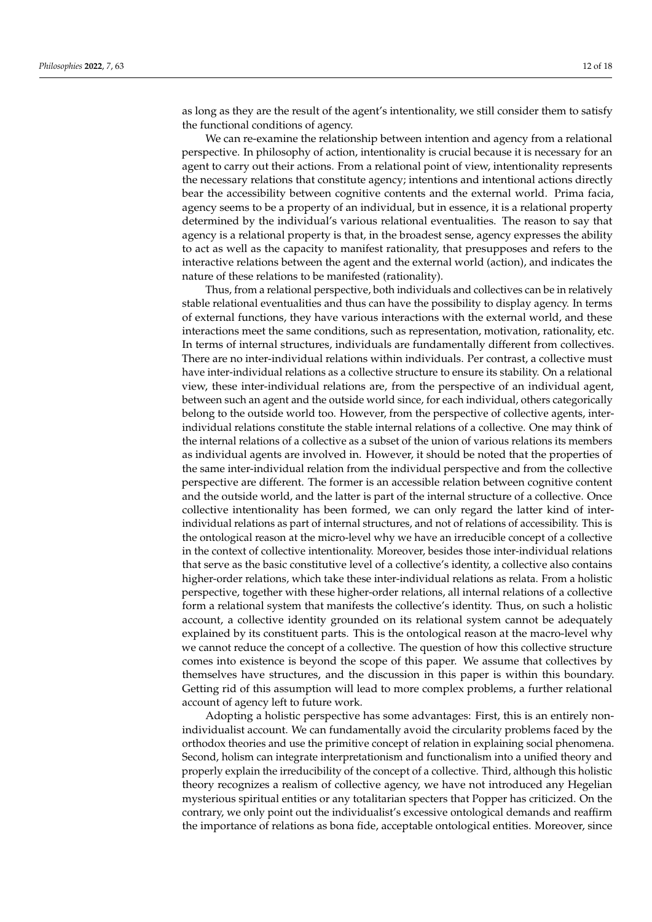as long as they are the result of the agent's intentionality, we still consider them to satisfy the functional conditions of agency.

We can re-examine the relationship between intention and agency from a relational perspective. In philosophy of action, intentionality is crucial because it is necessary for an agent to carry out their actions. From a relational point of view, intentionality represents the necessary relations that constitute agency; intentions and intentional actions directly bear the accessibility between cognitive contents and the external world. Prima facia, agency seems to be a property of an individual, but in essence, it is a relational property determined by the individual's various relational eventualities. The reason to say that agency is a relational property is that, in the broadest sense, agency expresses the ability to act as well as the capacity to manifest rationality, that presupposes and refers to the interactive relations between the agent and the external world (action), and indicates the nature of these relations to be manifested (rationality).

Thus, from a relational perspective, both individuals and collectives can be in relatively stable relational eventualities and thus can have the possibility to display agency. In terms of external functions, they have various interactions with the external world, and these interactions meet the same conditions, such as representation, motivation, rationality, etc. In terms of internal structures, individuals are fundamentally different from collectives. There are no inter-individual relations within individuals. Per contrast, a collective must have inter-individual relations as a collective structure to ensure its stability. On a relational view, these inter-individual relations are, from the perspective of an individual agent, between such an agent and the outside world since, for each individual, others categorically belong to the outside world too. However, from the perspective of collective agents, interindividual relations constitute the stable internal relations of a collective. One may think of the internal relations of a collective as a subset of the union of various relations its members as individual agents are involved in. However, it should be noted that the properties of the same inter-individual relation from the individual perspective and from the collective perspective are different. The former is an accessible relation between cognitive content and the outside world, and the latter is part of the internal structure of a collective. Once collective intentionality has been formed, we can only regard the latter kind of interindividual relations as part of internal structures, and not of relations of accessibility. This is the ontological reason at the micro-level why we have an irreducible concept of a collective in the context of collective intentionality. Moreover, besides those inter-individual relations that serve as the basic constitutive level of a collective's identity, a collective also contains higher-order relations, which take these inter-individual relations as relata. From a holistic perspective, together with these higher-order relations, all internal relations of a collective form a relational system that manifests the collective's identity. Thus, on such a holistic account, a collective identity grounded on its relational system cannot be adequately explained by its constituent parts. This is the ontological reason at the macro-level why we cannot reduce the concept of a collective. The question of how this collective structure comes into existence is beyond the scope of this paper. We assume that collectives by themselves have structures, and the discussion in this paper is within this boundary. Getting rid of this assumption will lead to more complex problems, a further relational account of agency left to future work.

Adopting a holistic perspective has some advantages: First, this is an entirely nonindividualist account. We can fundamentally avoid the circularity problems faced by the orthodox theories and use the primitive concept of relation in explaining social phenomena. Second, holism can integrate interpretationism and functionalism into a unified theory and properly explain the irreducibility of the concept of a collective. Third, although this holistic theory recognizes a realism of collective agency, we have not introduced any Hegelian mysterious spiritual entities or any totalitarian specters that Popper has criticized. On the contrary, we only point out the individualist's excessive ontological demands and reaffirm the importance of relations as bona fide, acceptable ontological entities. Moreover, since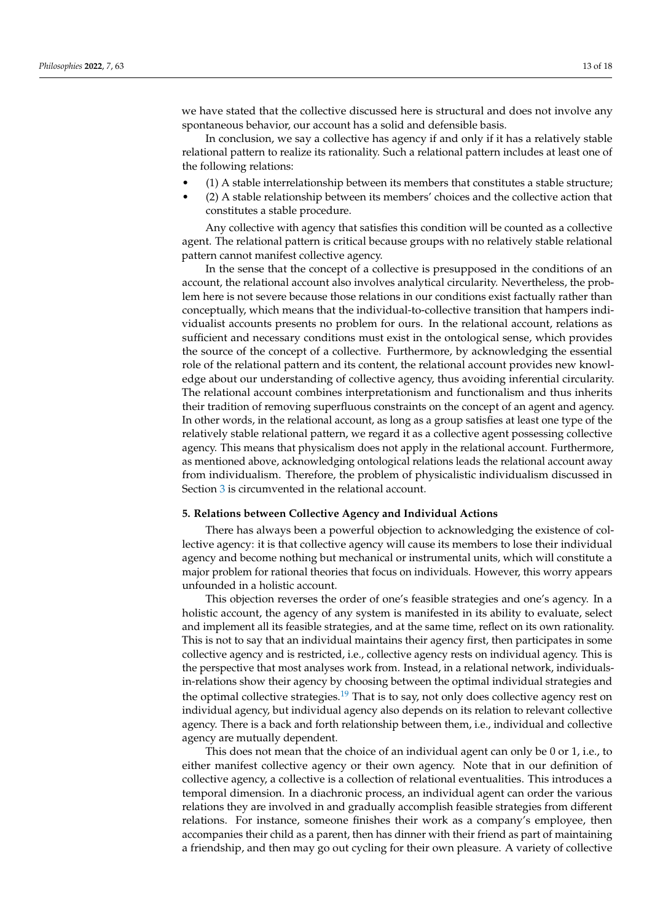we have stated that the collective discussed here is structural and does not involve any spontaneous behavior, our account has a solid and defensible basis.

In conclusion, we say a collective has agency if and only if it has a relatively stable relational pattern to realize its rationality. Such a relational pattern includes at least one of the following relations:

- (1) A stable interrelationship between its members that constitutes a stable structure;
- (2) A stable relationship between its members' choices and the collective action that constitutes a stable procedure.

Any collective with agency that satisfies this condition will be counted as a collective agent. The relational pattern is critical because groups with no relatively stable relational pattern cannot manifest collective agency.

In the sense that the concept of a collective is presupposed in the conditions of an account, the relational account also involves analytical circularity. Nevertheless, the problem here is not severe because those relations in our conditions exist factually rather than conceptually, which means that the individual-to-collective transition that hampers individualist accounts presents no problem for ours. In the relational account, relations as sufficient and necessary conditions must exist in the ontological sense, which provides the source of the concept of a collective. Furthermore, by acknowledging the essential role of the relational pattern and its content, the relational account provides new knowledge about our understanding of collective agency, thus avoiding inferential circularity. The relational account combines interpretationism and functionalism and thus inherits their tradition of removing superfluous constraints on the concept of an agent and agency. In other words, in the relational account, as long as a group satisfies at least one type of the relatively stable relational pattern, we regard it as a collective agent possessing collective agency. This means that physicalism does not apply in the relational account. Furthermore, as mentioned above, acknowledging ontological relations leads the relational account away from individualism. Therefore, the problem of physicalistic individualism discussed in Section [3](#page-5-0) is circumvented in the relational account.

#### <span id="page-12-0"></span>**5. Relations between Collective Agency and Individual Actions**

There has always been a powerful objection to acknowledging the existence of collective agency: it is that collective agency will cause its members to lose their individual agency and become nothing but mechanical or instrumental units, which will constitute a major problem for rational theories that focus on individuals. However, this worry appears unfounded in a holistic account.

This objection reverses the order of one's feasible strategies and one's agency. In a holistic account, the agency of any system is manifested in its ability to evaluate, select and implement all its feasible strategies, and at the same time, reflect on its own rationality. This is not to say that an individual maintains their agency first, then participates in some collective agency and is restricted, i.e., collective agency rests on individual agency. This is the perspective that most analyses work from. Instead, in a relational network, individualsin-relations show their agency by choosing between the optimal individual strategies and the optimal collective strategies.<sup>[19](#page-16-27)</sup> That is to say, not only does collective agency rest on individual agency, but individual agency also depends on its relation to relevant collective agency. There is a back and forth relationship between them, i.e., individual and collective agency are mutually dependent.

<span id="page-12-1"></span>This does not mean that the choice of an individual agent can only be 0 or 1, i.e., to either manifest collective agency or their own agency. Note that in our definition of collective agency, a collective is a collection of relational eventualities. This introduces a temporal dimension. In a diachronic process, an individual agent can order the various relations they are involved in and gradually accomplish feasible strategies from different relations. For instance, someone finishes their work as a company's employee, then accompanies their child as a parent, then has dinner with their friend as part of maintaining a friendship, and then may go out cycling for their own pleasure. A variety of collective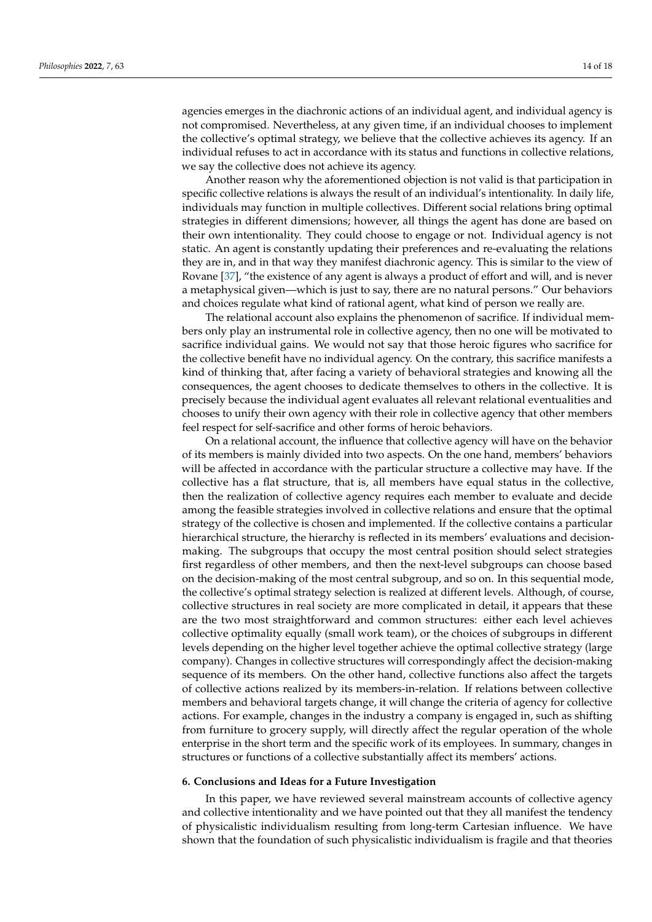agencies emerges in the diachronic actions of an individual agent, and individual agency is not compromised. Nevertheless, at any given time, if an individual chooses to implement the collective's optimal strategy, we believe that the collective achieves its agency. If an individual refuses to act in accordance with its status and functions in collective relations, we say the collective does not achieve its agency.

Another reason why the aforementioned objection is not valid is that participation in specific collective relations is always the result of an individual's intentionality. In daily life, individuals may function in multiple collectives. Different social relations bring optimal strategies in different dimensions; however, all things the agent has done are based on their own intentionality. They could choose to engage or not. Individual agency is not static. An agent is constantly updating their preferences and re-evaluating the relations they are in, and in that way they manifest diachronic agency. This is similar to the view of Rovane [\[37\]](#page-17-1), "the existence of any agent is always a product of effort and will, and is never a metaphysical given—which is just to say, there are no natural persons." Our behaviors and choices regulate what kind of rational agent, what kind of person we really are.

The relational account also explains the phenomenon of sacrifice. If individual members only play an instrumental role in collective agency, then no one will be motivated to sacrifice individual gains. We would not say that those heroic figures who sacrifice for the collective benefit have no individual agency. On the contrary, this sacrifice manifests a kind of thinking that, after facing a variety of behavioral strategies and knowing all the consequences, the agent chooses to dedicate themselves to others in the collective. It is precisely because the individual agent evaluates all relevant relational eventualities and chooses to unify their own agency with their role in collective agency that other members feel respect for self-sacrifice and other forms of heroic behaviors.

On a relational account, the influence that collective agency will have on the behavior of its members is mainly divided into two aspects. On the one hand, members' behaviors will be affected in accordance with the particular structure a collective may have. If the collective has a flat structure, that is, all members have equal status in the collective, then the realization of collective agency requires each member to evaluate and decide among the feasible strategies involved in collective relations and ensure that the optimal strategy of the collective is chosen and implemented. If the collective contains a particular hierarchical structure, the hierarchy is reflected in its members' evaluations and decisionmaking. The subgroups that occupy the most central position should select strategies first regardless of other members, and then the next-level subgroups can choose based on the decision-making of the most central subgroup, and so on. In this sequential mode, the collective's optimal strategy selection is realized at different levels. Although, of course, collective structures in real society are more complicated in detail, it appears that these are the two most straightforward and common structures: either each level achieves collective optimality equally (small work team), or the choices of subgroups in different levels depending on the higher level together achieve the optimal collective strategy (large company). Changes in collective structures will correspondingly affect the decision-making sequence of its members. On the other hand, collective functions also affect the targets of collective actions realized by its members-in-relation. If relations between collective members and behavioral targets change, it will change the criteria of agency for collective actions. For example, changes in the industry a company is engaged in, such as shifting from furniture to grocery supply, will directly affect the regular operation of the whole enterprise in the short term and the specific work of its employees. In summary, changes in structures or functions of a collective substantially affect its members' actions.

#### **6. Conclusions and Ideas for a Future Investigation**

In this paper, we have reviewed several mainstream accounts of collective agency and collective intentionality and we have pointed out that they all manifest the tendency of physicalistic individualism resulting from long-term Cartesian influence. We have shown that the foundation of such physicalistic individualism is fragile and that theories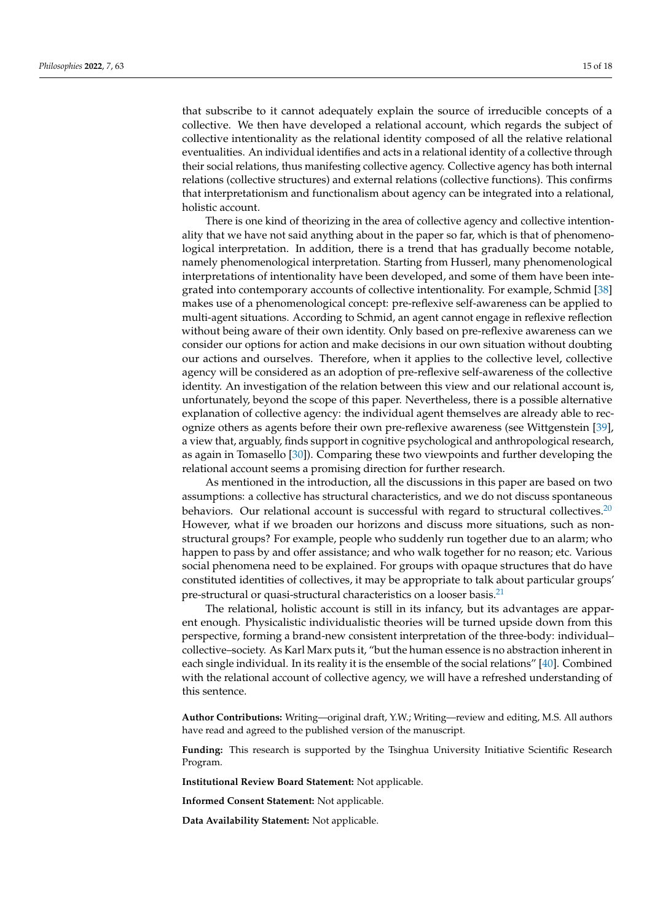that subscribe to it cannot adequately explain the source of irreducible concepts of a collective. We then have developed a relational account, which regards the subject of collective intentionality as the relational identity composed of all the relative relational eventualities. An individual identifies and acts in a relational identity of a collective through their social relations, thus manifesting collective agency. Collective agency has both internal relations (collective structures) and external relations (collective functions). This confirms that interpretationism and functionalism about agency can be integrated into a relational, holistic account.

There is one kind of theorizing in the area of collective agency and collective intentionality that we have not said anything about in the paper so far, which is that of phenomenological interpretation. In addition, there is a trend that has gradually become notable, namely phenomenological interpretation. Starting from Husserl, many phenomenological interpretations of intentionality have been developed, and some of them have been integrated into contemporary accounts of collective intentionality. For example, Schmid [\[38\]](#page-17-2) makes use of a phenomenological concept: pre-reflexive self-awareness can be applied to multi-agent situations. According to Schmid, an agent cannot engage in reflexive reflection without being aware of their own identity. Only based on pre-reflexive awareness can we consider our options for action and make decisions in our own situation without doubting our actions and ourselves. Therefore, when it applies to the collective level, collective agency will be considered as an adoption of pre-reflexive self-awareness of the collective identity. An investigation of the relation between this view and our relational account is, unfortunately, beyond the scope of this paper. Nevertheless, there is a possible alternative explanation of collective agency: the individual agent themselves are already able to recognize others as agents before their own pre-reflexive awareness (see Wittgenstein [\[39\]](#page-17-3), a view that, arguably, finds support in cognitive psychological and anthropological research, as again in Tomasello [\[30\]](#page-16-28)). Comparing these two viewpoints and further developing the relational account seems a promising direction for further research.

<span id="page-14-0"></span>As mentioned in the introduction, all the discussions in this paper are based on two assumptions: a collective has structural characteristics, and we do not discuss spontaneous behaviors. Our relational account is successful with regard to structural collectives. $20$ However, what if we broaden our horizons and discuss more situations, such as nonstructural groups? For example, people who suddenly run together due to an alarm; who happen to pass by and offer assistance; and who walk together for no reason; etc. Various social phenomena need to be explained. For groups with opaque structures that do have constituted identities of collectives, it may be appropriate to talk about particular groups' pre-structural or quasi-structural characteristics on a looser basis.<sup>[21](#page-16-30)</sup>

<span id="page-14-1"></span>The relational, holistic account is still in its infancy, but its advantages are apparent enough. Physicalistic individualistic theories will be turned upside down from this perspective, forming a brand-new consistent interpretation of the three-body: individual– collective–society. As Karl Marx puts it, "but the human essence is no abstraction inherent in each single individual. In its reality it is the ensemble of the social relations" [\[40\]](#page-17-4). Combined with the relational account of collective agency, we will have a refreshed understanding of this sentence.

**Author Contributions:** Writing—original draft, Y.W.; Writing—review and editing, M.S. All authors have read and agreed to the published version of the manuscript.

**Funding:** This research is supported by the Tsinghua University Initiative Scientific Research Program.

**Institutional Review Board Statement:** Not applicable.

**Informed Consent Statement:** Not applicable.

**Data Availability Statement:** Not applicable.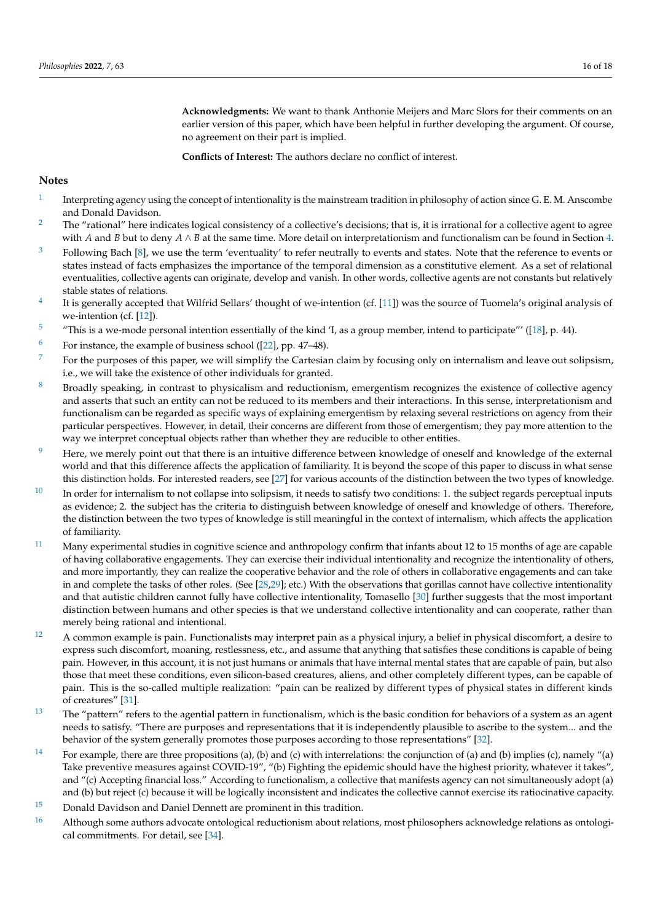**Acknowledgments:** We want to thank Anthonie Meijers and Marc Slors for their comments on an earlier version of this paper, which have been helpful in further developing the argument. Of course, no agreement on their part is implied.

**Conflicts of Interest:** The authors declare no conflict of interest.

# **Notes**

- <span id="page-15-0"></span>[1](#page-0-0) Interpreting agency using the concept of intentionality is the mainstream tradition in philosophy of action since G. E. M. Anscombe and Donald Davidson.
- <span id="page-15-1"></span><sup>[2](#page-1-0)</sup> The "rational" here indicates logical consistency of a collective's decisions; that is, it is irrational for a collective agent to agree with *A* and *B* but to deny *A* ∧ *B* at the same time. More detail on interpretationism and functionalism can be found in Section [4.](#page-8-0)
- <span id="page-15-2"></span> $3$  Following Bach [\[8\]](#page-16-31), we use the term 'eventuality' to refer neutrally to events and states. Note that the reference to events or states instead of facts emphasizes the importance of the temporal dimension as a constitutive element. As a set of relational eventualities, collective agents can originate, develop and vanish. In other words, collective agents are not constants but relatively stable states of relations.
- <span id="page-15-3"></span>[4](#page-1-2) It is generally accepted that Wilfrid Sellars' thought of we-intention (cf. [\[11\]](#page-16-32)) was the source of Tuomela's original analysis of we-intention (cf. [\[12\]](#page-16-33)).
- <span id="page-15-4"></span><sup>[5](#page-2-0)</sup> "This is a we-mode personal intention essentially of the kind 'I, as a group member, intend to participate''' ([\[18\]](#page-16-14), p. 44).
- <span id="page-15-5"></span><sup>[6](#page-3-0)</sup> For instance, the example of business school ([\[22\]](#page-16-18), pp. 47–48).
- <span id="page-15-6"></span> $7\,$  $7\,$  For the purposes of this paper, we will simplify the Cartesian claim by focusing only on internalism and leave out solipsism, i.e., we will take the existence of other individuals for granted.
- <span id="page-15-7"></span><sup>[8](#page-6-0)</sup> Broadly speaking, in contrast to physicalism and reductionism, emergentism recognizes the existence of collective agency and asserts that such an entity can not be reduced to its members and their interactions. In this sense, interpretationism and functionalism can be regarded as specific ways of explaining emergentism by relaxing several restrictions on agency from their particular perspectives. However, in detail, their concerns are different from those of emergentism; they pay more attention to the way we interpret conceptual objects rather than whether they are reducible to other entities.
- <span id="page-15-8"></span><sup>[9](#page-6-1)</sup> Here, we merely point out that there is an intuitive difference between knowledge of oneself and knowledge of the external world and that this difference affects the application of familiarity. It is beyond the scope of this paper to discuss in what sense this distinction holds. For interested readers, see [\[27\]](#page-16-34) for various accounts of the distinction between the two types of knowledge.
- <span id="page-15-9"></span> $10$  In order for internalism to not collapse into solipsism, it needs to satisfy two conditions: 1. the subject regards perceptual inputs as evidence; 2. the subject has the criteria to distinguish between knowledge of oneself and knowledge of others. Therefore, the distinction between the two types of knowledge is still meaningful in the context of internalism, which affects the application of familiarity.
- <span id="page-15-10"></span> $11$  Many experimental studies in cognitive science and anthropology confirm that infants about 12 to 15 months of age are capable of having collaborative engagements. They can exercise their individual intentionality and recognize the intentionality of others, and more importantly, they can realize the cooperative behavior and the role of others in collaborative engagements and can take in and complete the tasks of other roles. (See [\[28](#page-16-35)[,29\]](#page-16-36); etc.) With the observations that gorillas cannot have collective intentionality and that autistic children cannot fully have collective intentionality, Tomasello [\[30\]](#page-16-28) further suggests that the most important distinction between humans and other species is that we understand collective intentionality and can cooperate, rather than merely being rational and intentional.
- <span id="page-15-11"></span> $12$  A common example is pain. Functionalists may interpret pain as a physical injury, a belief in physical discomfort, a desire to express such discomfort, moaning, restlessness, etc., and assume that anything that satisfies these conditions is capable of being pain. However, in this account, it is not just humans or animals that have internal mental states that are capable of pain, but also those that meet these conditions, even silicon-based creatures, aliens, and other completely different types, can be capable of pain. This is the so-called multiple realization: "pain can be realized by different types of physical states in different kinds of creatures" [\[31\]](#page-16-37).
- <span id="page-15-12"></span> $13$  The "pattern" refers to the agential pattern in functionalism, which is the basic condition for behaviors of a system as an agent needs to satisfy. "There are purposes and representations that it is independently plausible to ascribe to the system... and the behavior of the system generally promotes those purposes according to those representations" [\[32\]](#page-16-23).
- <span id="page-15-13"></span><sup>[14](#page-8-3)</sup> For example, there are three propositions (a), (b) and (c) with interrelations: the conjunction of (a) and (b) implies (c), namely "(a) Take preventive measures against COVID-19", "(b) Fighting the epidemic should have the highest priority, whatever it takes", and "(c) Accepting financial loss." According to functionalism, a collective that manifests agency can not simultaneously adopt (a) and (b) but reject (c) because it will be logically inconsistent and indicates the collective cannot exercise its ratiocinative capacity.
- <span id="page-15-14"></span>[15](#page-8-4) Donald Davidson and Daniel Dennett are prominent in this tradition.
- <span id="page-15-15"></span><sup>[16](#page-10-0)</sup> Although some authors advocate ontological reductionism about relations, most philosophers acknowledge relations as ontological commitments. For detail, see [\[34\]](#page-16-38).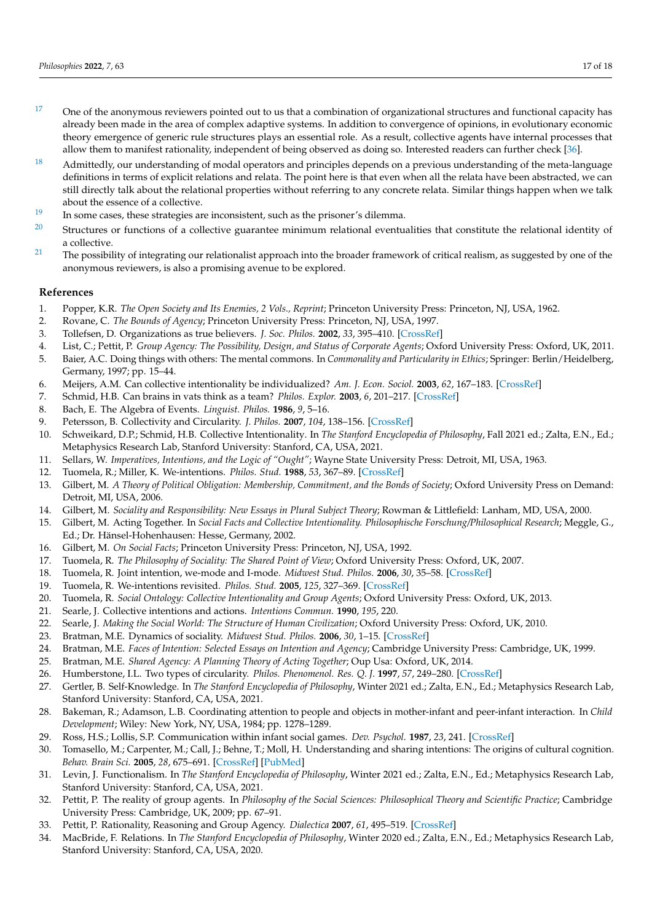- <span id="page-16-25"></span> $17$  One of the anonymous reviewers pointed out to us that a combination of organizational structures and functional capacity has already been made in the area of complex adaptive systems. In addition to convergence of opinions, in evolutionary economic theory emergence of generic rule structures plays an essential role. As a result, collective agents have internal processes that allow them to manifest rationality, independent of being observed as doing so. Interested readers can further check [\[36\]](#page-17-5).
- <span id="page-16-26"></span> $18$  Admittedly, our understanding of modal operators and principles depends on a previous understanding of the meta-language definitions in terms of explicit relations and relata. The point here is that even when all the relata have been abstracted, we can still directly talk about the relational properties without referring to any concrete relata. Similar things happen when we talk about the essence of a collective.
- <span id="page-16-27"></span><sup>[19](#page-12-1)</sup> In some cases, these strategies are inconsistent, such as the prisoner's dilemma.
- <span id="page-16-29"></span> $20$  Structures or functions of a collective guarantee minimum relational eventualities that constitute the relational identity of a collective.
- <span id="page-16-30"></span><sup>[21](#page-14-1)</sup> The possibility of integrating our relationalist approach into the broader framework of critical realism, as suggested by one of the anonymous reviewers, is also a promising avenue to be explored.

# **References**

- <span id="page-16-0"></span>1. Popper, K.R. *The Open Society and Its Enemies, 2 Vols., Reprint*; Princeton University Press: Princeton, NJ, USA, 1962.
- <span id="page-16-1"></span>2. Rovane, C. *The Bounds of Agency*; Princeton University Press: Princeton, NJ, USA, 1997.
- <span id="page-16-2"></span>3. Tollefsen, D. Organizations as true believers. *J. Soc. Philos.* **2002**, *33*, 395–410. [\[CrossRef\]](http://doi.org/10.1111/0047-2786.00149)
- <span id="page-16-3"></span>4. List, C.; Pettit, P. *Group Agency: The Possibility, Design, and Status of Corporate Agents*; Oxford University Press: Oxford, UK, 2011.
- <span id="page-16-4"></span>5. Baier, A.C. Doing things with others: The mental commons. In *Commonality and Particularity in Ethics*; Springer: Berlin/Heidelberg, Germany, 1997; pp. 15–44.
- <span id="page-16-5"></span>6. Meijers, A.M. Can collective intentionality be individualized? *Am. J. Econ. Sociol.* **2003**, *62*, 167–183. [\[CrossRef\]](http://dx.doi.org/10.1111/1536-7150.t01-1-00006)
- <span id="page-16-6"></span>7. Schmid, H.B. Can brains in vats think as a team? *Philos. Explor.* **2003**, *6*, 201–217. [\[CrossRef\]](http://dx.doi.org/10.1080/10002003098538750)
- <span id="page-16-31"></span>8. Bach, E. The Algebra of Events. *Linguist. Philos.* **1986**, *9*, 5–16.
- <span id="page-16-7"></span>9. Petersson, B. Collectivity and Circularity. *J. Philos.* **2007**, *104*, 138–156. [\[CrossRef\]](http://dx.doi.org/10.5840/jphil2007104329)
- <span id="page-16-8"></span>10. Schweikard, D.P.; Schmid, H.B. Collective Intentionality. In *The Stanford Encyclopedia of Philosophy*, Fall 2021 ed.; Zalta, E.N., Ed.; Metaphysics Research Lab, Stanford University: Stanford, CA, USA, 2021.
- <span id="page-16-32"></span>11. Sellars, W. *Imperatives, Intentions, and the Logic of "Ought"*; Wayne State University Press: Detroit, MI, USA, 1963.
- <span id="page-16-33"></span>12. Tuomela, R.; Miller, K. We-intentions. *Philos. Stud.* **1988**, *53*, 367–89. [\[CrossRef\]](http://dx.doi.org/10.1007/BF00353512)
- <span id="page-16-9"></span>13. Gilbert, M. A Theory of Political Obligation: Membership, Commitment, and the Bonds of Society; Oxford University Press on Demand: Detroit, MI, USA, 2006.
- <span id="page-16-10"></span>14. Gilbert, M. *Sociality and Responsibility: New Essays in Plural Subject Theory*; Rowman & Littlefield: Lanham, MD, USA, 2000.
- <span id="page-16-11"></span>15. Gilbert, M. Acting Together. In *Social Facts and Collective Intentionality. Philosophische Forschung/Philosophical Research*; Meggle, G., Ed.; Dr. Hänsel-Hohenhausen: Hesse, Germany, 2002.
- <span id="page-16-12"></span>16. Gilbert, M. *On Social Facts*; Princeton University Press: Princeton, NJ, USA, 1992.
- <span id="page-16-13"></span>17. Tuomela, R. *The Philosophy of Sociality: The Shared Point of View*; Oxford University Press: Oxford, UK, 2007.
- <span id="page-16-14"></span>18. Tuomela, R. Joint intention, we-mode and I-mode. *Midwest Stud. Philos.* **2006**, *30*, 35–58. [\[CrossRef\]](http://dx.doi.org/10.1111/j.1475-4975.2006.00127.x)
- <span id="page-16-15"></span>19. Tuomela, R. We-intentions revisited. *Philos. Stud.* **2005**, *125*, 327–369. [\[CrossRef\]](http://dx.doi.org/10.1007/s11098-005-7781-1)
- <span id="page-16-16"></span>20. Tuomela, R. *Social Ontology: Collective Intentionality and Group Agents*; Oxford University Press: Oxford, UK, 2013.
- <span id="page-16-17"></span>21. Searle, J. Collective intentions and actions. *Intentions Commun.* **1990**, *195*, 220.
- <span id="page-16-18"></span>22. Searle, J. *Making the Social World: The Structure of Human Civilization*; Oxford University Press: Oxford, UK, 2010.
- <span id="page-16-19"></span>23. Bratman, M.E. Dynamics of sociality. *Midwest Stud. Philos.* **2006**, *30*, 1–15. [\[CrossRef\]](http://dx.doi.org/10.1111/j.1475-4975.2006.00125.x)
- <span id="page-16-20"></span>24. Bratman, M.E. *Faces of Intention: Selected Essays on Intention and Agency*; Cambridge University Press: Cambridge, UK, 1999.
- <span id="page-16-21"></span>25. Bratman, M.E. *Shared Agency: A Planning Theory of Acting Together*; Oup Usa: Oxford, UK, 2014.
- <span id="page-16-22"></span>26. Humberstone, I.L. Two types of circularity. *Philos. Phenomenol. Res. Q. J.* **1997**, *57*, 249–280. [\[CrossRef\]](http://dx.doi.org/10.2307/2953718)
- <span id="page-16-34"></span>27. Gertler, B. Self-Knowledge. In *The Stanford Encyclopedia of Philosophy*, Winter 2021 ed.; Zalta, E.N., Ed.; Metaphysics Research Lab, Stanford University: Stanford, CA, USA, 2021.
- <span id="page-16-35"></span>28. Bakeman, R.; Adamson, L.B. Coordinating attention to people and objects in mother-infant and peer-infant interaction. In *Child Development*; Wiley: New York, NY, USA, 1984; pp. 1278–1289.
- <span id="page-16-36"></span>29. Ross, H.S.; Lollis, S.P. Communication within infant social games. *Dev. Psychol.* **1987**, *23*, 241. [\[CrossRef\]](http://dx.doi.org/10.1037/0012-1649.23.2.241)
- <span id="page-16-28"></span>30. Tomasello, M.; Carpenter, M.; Call, J.; Behne, T.; Moll, H. Understanding and sharing intentions: The origins of cultural cognition. *Behav. Brain Sci.* **2005**, *28*, 675–691. [\[CrossRef\]](http://dx.doi.org/10.1017/S0140525X05000129) [\[PubMed\]](http://www.ncbi.nlm.nih.gov/pubmed/16262930)
- <span id="page-16-37"></span>31. Levin, J. Functionalism. In *The Stanford Encyclopedia of Philosophy*, Winter 2021 ed.; Zalta, E.N., Ed.; Metaphysics Research Lab, Stanford University: Stanford, CA, USA, 2021.
- <span id="page-16-23"></span>32. Pettit, P. The reality of group agents. In *Philosophy of the Social Sciences: Philosophical Theory and Scientific Practice*; Cambridge University Press: Cambridge, UK, 2009; pp. 67–91.
- <span id="page-16-24"></span>33. Pettit, P. Rationality, Reasoning and Group Agency. *Dialectica* **2007**, *61*, 495–519. [\[CrossRef\]](http://dx.doi.org/10.1111/j.1746-8361.2007.01115.x)
- <span id="page-16-38"></span>34. MacBride, F. Relations. In *The Stanford Encyclopedia of Philosophy*, Winter 2020 ed.; Zalta, E.N., Ed.; Metaphysics Research Lab, Stanford University: Stanford, CA, USA, 2020.